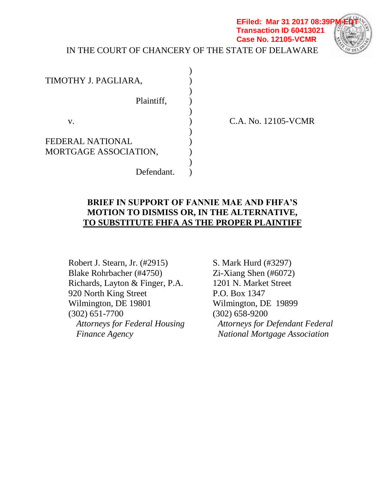### IN THE COURT OF CHANCERY OF THE STATE OF DELAWARE **EFiled: Mar 31 2017 08:39F Transaction ID 60413021 Case No. 12105-VCMR**



C.A. No. 12105-VCMR

# **BRIEF IN SUPPORT OF FANNIE MAE AND FHFA'S MOTION TO DISMISS OR, IN THE ALTERNATIVE, TO SUBSTITUTE FHFA AS THE PROPER PLAINTIFF**

Robert J. Stearn, Jr. (#2915) Blake Rohrbacher (#4750) Richards, Layton & Finger, P.A. 920 North King Street Wilmington, DE 19801 (302) 651-7700 *Attorneys for Federal Housing Finance Agency*

S. Mark Hurd (#3297) Zi-Xiang Shen (#6072) 1201 N. Market Street P.O. Box 1347 Wilmington, DE 19899 (302) 658-9200 *Attorneys for Defendant Federal National Mortgage Association*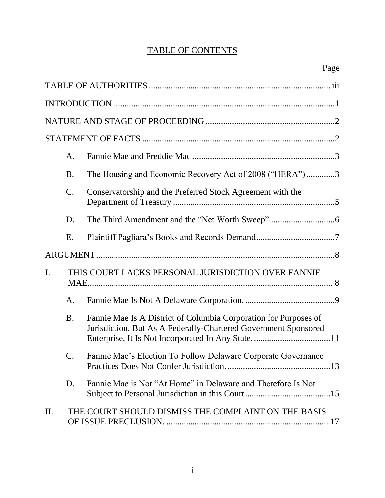# TABLE OF CONTENTS

|                | A.        |                                                                                                                                     |  |  |
|----------------|-----------|-------------------------------------------------------------------------------------------------------------------------------------|--|--|
|                | <b>B.</b> | The Housing and Economic Recovery Act of 2008 ("HERA")3                                                                             |  |  |
|                | C.        | Conservatorship and the Preferred Stock Agreement with the                                                                          |  |  |
|                | D.        |                                                                                                                                     |  |  |
|                | Ε.        |                                                                                                                                     |  |  |
|                |           |                                                                                                                                     |  |  |
| $\mathbf{I}$ . |           | THIS COURT LACKS PERSONAL JURISDICTION OVER FANNIE                                                                                  |  |  |
|                | A.        |                                                                                                                                     |  |  |
|                | <b>B.</b> | Fannie Mae Is A District of Columbia Corporation for Purposes of<br>Jurisdiction, But As A Federally-Chartered Government Sponsored |  |  |
|                | C.        | Fannie Mae's Election To Follow Delaware Corporate Governance                                                                       |  |  |
|                | D.        | Fannie Mae is Not "At Home" in Delaware and Therefore Is Not                                                                        |  |  |
| II.            |           | THE COURT SHOULD DISMISS THE COMPLAINT ON THE BASIS                                                                                 |  |  |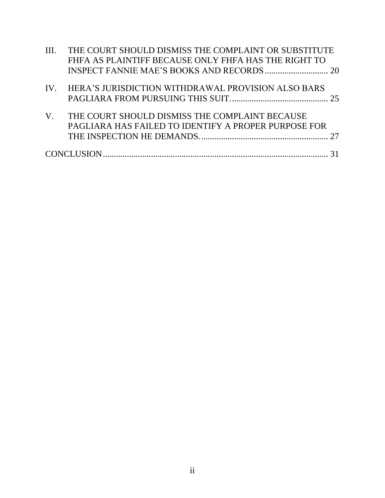| III.        | THE COURT SHOULD DISMISS THE COMPLAINT OR SUBSTITUTE<br>FHFA AS PLAINTIFF BECAUSE ONLY FHFA HAS THE RIGHT TO |  |
|-------------|--------------------------------------------------------------------------------------------------------------|--|
|             |                                                                                                              |  |
|             | IV. HERA'S JURISDICTION WITHDRAWAL PROVISION ALSO BARS                                                       |  |
| $V_{\cdot}$ | THE COURT SHOULD DISMISS THE COMPLAINT BECAUSE<br>PAGLIARA HAS FAILED TO IDENTIFY A PROPER PURPOSE FOR       |  |
|             |                                                                                                              |  |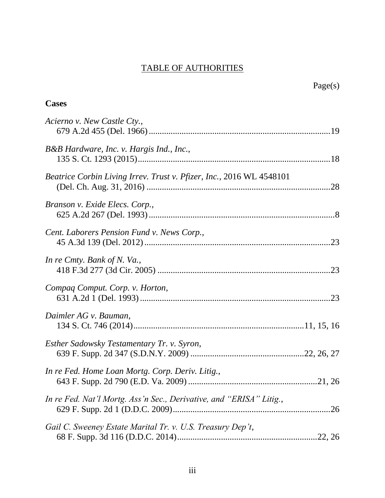# TABLE OF AUTHORITIES

| Page(s)                                                              |  |
|----------------------------------------------------------------------|--|
| <b>Cases</b>                                                         |  |
| Acierno v. New Castle Cty.,                                          |  |
| B&B Hardware, Inc. v. Hargis Ind., Inc.,                             |  |
| Beatrice Corbin Living Irrev. Trust v. Pfizer, Inc., 2016 WL 4548101 |  |
| Branson v. Exide Elecs. Corp.,                                       |  |
| Cent. Laborers Pension Fund v. News Corp.,                           |  |
| In re Cmty. Bank of N. Va.,                                          |  |
| Compaq Comput. Corp. v. Horton,                                      |  |
| Daimler AG v. Bauman,                                                |  |
| Esther Sadowsky Testamentary Tr. v. Syron,                           |  |
| In re Fed. Home Loan Mortg. Corp. Deriv. Litig.,                     |  |
| In re Fed. Nat'l Mortg. Ass'n Sec., Derivative, and "ERISA" Litig.,  |  |
| Gail C. Sweeney Estate Marital Tr. v. U.S. Treasury Dep't,           |  |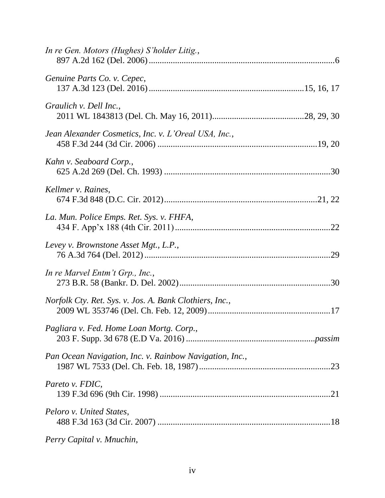| In re Gen. Motors (Hughes) S'holder Litig.,             |
|---------------------------------------------------------|
| Genuine Parts Co. v. Cepec,                             |
| Graulich v. Dell Inc.,                                  |
| Jean Alexander Cosmetics, Inc. v. L'Oreal USA, Inc.,    |
| Kahn v. Seaboard Corp.,                                 |
| Kellmer v. Raines,                                      |
| La. Mun. Police Emps. Ret. Sys. v. FHFA,                |
| Levey v. Brownstone Asset Mgt., L.P.,                   |
| In re Marvel Entm't Grp., Inc.,                         |
| Norfolk Cty. Ret. Sys. v. Jos. A. Bank Clothiers, Inc., |
| Pagliara v. Fed. Home Loan Mortg. Corp.,                |
| Pan Ocean Navigation, Inc. v. Rainbow Navigation, Inc., |
| Pareto v. FDIC,                                         |
| Peloro v. United States,                                |
| Perry Capital v. Mnuchin,                               |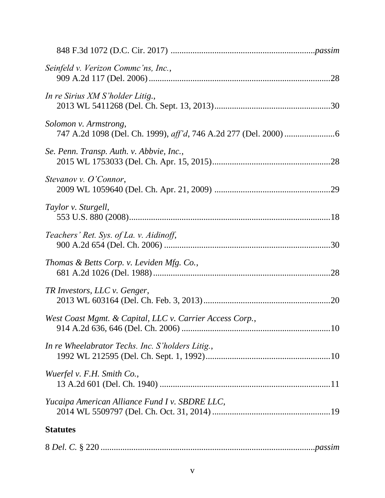| Seinfeld v. Verizon Commc'ns, Inc.,                      |  |
|----------------------------------------------------------|--|
| In re Sirius XM S'holder Litig.,                         |  |
| Solomon v. Armstrong,                                    |  |
| Se. Penn. Transp. Auth. v. Abbvie, Inc.,                 |  |
| Stevanov v. O'Connor,                                    |  |
| Taylor v. Sturgell,                                      |  |
| Teachers' Ret. Sys. of La. v. Aidinoff,                  |  |
| Thomas & Betts Corp. v. Leviden Mfg. Co.,                |  |
| TR Investors, LLC v. Genger,                             |  |
| West Coast Mgmt. & Capital, LLC v. Carrier Access Corp., |  |
| In re Wheelabrator Techs. Inc. S'holders Litig.,         |  |
| Wuerfel v. F.H. Smith Co.,                               |  |
| Yucaipa American Alliance Fund I v. SBDRE LLC,           |  |
| <b>Statutes</b>                                          |  |
|                                                          |  |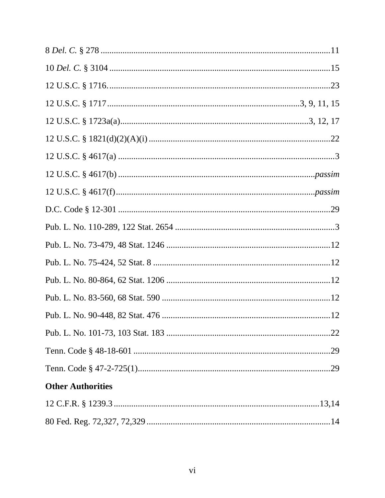| <b>Other Authorities</b> |
|--------------------------|
|                          |
|                          |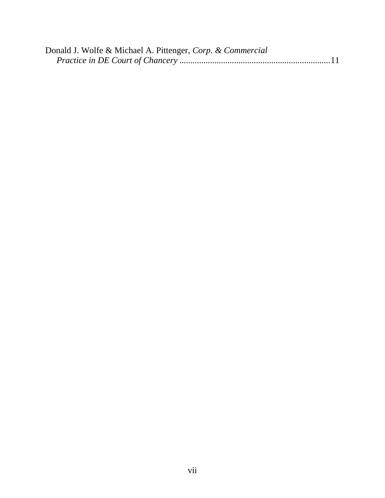| Donald J. Wolfe & Michael A. Pittenger, Corp. & Commercial |  |
|------------------------------------------------------------|--|
|                                                            |  |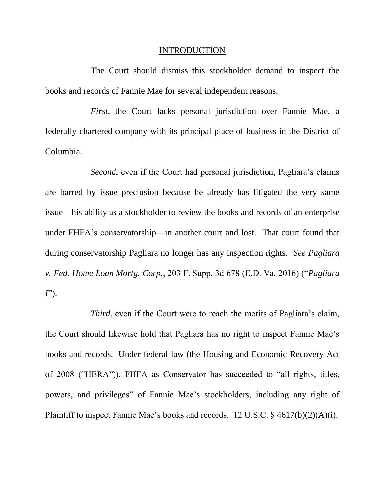#### <span id="page-8-0"></span>INTRODUCTION

The Court should dismiss this stockholder demand to inspect the books and records of Fannie Mae for several independent reasons.

*First*, the Court lacks personal jurisdiction over Fannie Mae, a federally chartered company with its principal place of business in the District of Columbia.

*Second*, even if the Court had personal jurisdiction, Pagliara's claims are barred by issue preclusion because he already has litigated the very same issue—his ability as a stockholder to review the books and records of an enterprise under FHFA's conservatorship—in another court and lost. That court found that during conservatorship Pagliara no longer has any inspection rights. *See Pagliara v. Fed. Home Loan Mortg. Corp.*, 203 F. Supp. 3d 678 (E.D. Va. 2016) ("*Pagliara I*").

*Third*, even if the Court were to reach the merits of Pagliara's claim, the Court should likewise hold that Pagliara has no right to inspect Fannie Mae's books and records. Under federal law (the Housing and Economic Recovery Act of 2008 ("HERA")), FHFA as Conservator has succeeded to "all rights, titles, powers, and privileges" of Fannie Mae's stockholders, including any right of Plaintiff to inspect Fannie Mae's books and records. 12 U.S.C. § 4617(b)(2)(A)(i).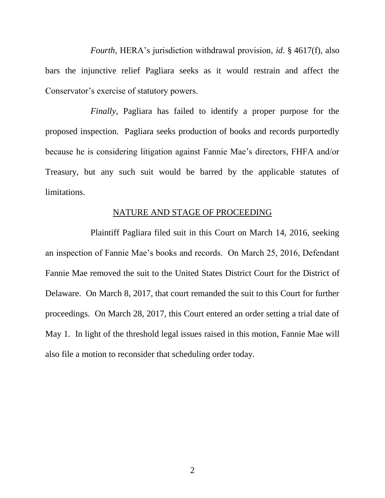*Fourth*, HERA's jurisdiction withdrawal provision, *id*. § 4617(f), also bars the injunctive relief Pagliara seeks as it would restrain and affect the Conservator's exercise of statutory powers.

*Finally*, Pagliara has failed to identify a proper purpose for the proposed inspection. Pagliara seeks production of books and records purportedly because he is considering litigation against Fannie Mae's directors, FHFA and/or Treasury, but any such suit would be barred by the applicable statutes of limitations.

## NATURE AND STAGE OF PROCEEDING

Plaintiff Pagliara filed suit in this Court on March 14, 2016, seeking an inspection of Fannie Mae's books and records. On March 25, 2016, Defendant Fannie Mae removed the suit to the United States District Court for the District of Delaware. On March 8, 2017, that court remanded the suit to this Court for further proceedings. On March 28, 2017, this Court entered an order setting a trial date of May 1. In light of the threshold legal issues raised in this motion, Fannie Mae will also file a motion to reconsider that scheduling order today.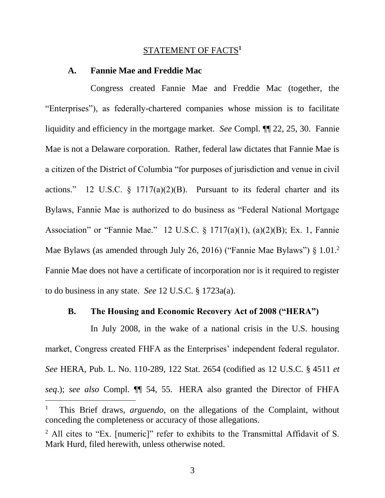### STATEMENT OF FACTS**<sup>1</sup>**

#### **A. Fannie Mae and Freddie Mac**

Congress created Fannie Mae and Freddie Mac (together, the "Enterprises"), as federally-chartered companies whose mission is to facilitate liquidity and efficiency in the mortgage market. *See* Compl. ¶¶ 22, 25, 30. Fannie Mae is not a Delaware corporation. Rather, federal law dictates that Fannie Mae is a citizen of the District of Columbia "for purposes of jurisdiction and venue in civil actions." 12 U.S.C.  $\S$  1717(a)(2)(B). Pursuant to its federal charter and its Bylaws, Fannie Mae is authorized to do business as "Federal National Mortgage Association" or "Fannie Mae." 12 U.S.C. § 1717(a)(1), (a)(2)(B); Ex. 1, Fannie Mae Bylaws (as amended through July 26, 2016) ("Fannie Mae Bylaws") § 1.01.<sup>2</sup> Fannie Mae does not have a certificate of incorporation nor is it required to register to do business in any state. *See* 12 U.S.C. § 1723a(a).

### <span id="page-10-1"></span><span id="page-10-0"></span>**B. The Housing and Economic Recovery Act of 2008 ("HERA")**

In July 2008, in the wake of a national crisis in the U.S. housing market, Congress created FHFA as the Enterprises' independent federal regulator. *See* HERA, Pub. L. No. 110-289, 122 Stat. 2654 (codified as 12 U.S.C. § 4511 *et seq*.); *see also* Compl. ¶¶ 54, 55. HERA also granted the Director of FHFA

 $\overline{a}$ 

3

<sup>1</sup> This Brief draws, *arguendo*, on the allegations of the Complaint, without conceding the completeness or accuracy of those allegations.

<sup>&</sup>lt;sup>2</sup> All cites to "Ex. [numeric]" refer to exhibits to the Transmittal Affidavit of S. Mark Hurd, filed herewith, unless otherwise noted.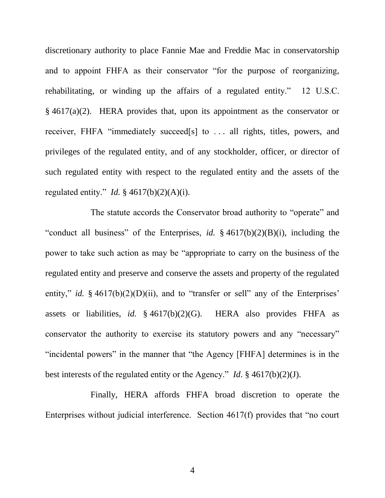<span id="page-11-0"></span>discretionary authority to place Fannie Mae and Freddie Mac in conservatorship and to appoint FHFA as their conservator "for the purpose of reorganizing, rehabilitating, or winding up the affairs of a regulated entity." 12 U.S.C. § 4617(a)(2). HERA provides that, upon its appointment as the conservator or receiver, FHFA "immediately succeed[s] to . . . all rights, titles, powers, and privileges of the regulated entity, and of any stockholder, officer, or director of such regulated entity with respect to the regulated entity and the assets of the regulated entity." *Id.* § 4617(b)(2)(A)(i).

The statute accords the Conservator broad authority to "operate" and "conduct all business" of the Enterprises, *id.* § 4617(b)(2)(B)(i), including the power to take such action as may be "appropriate to carry on the business of the regulated entity and preserve and conserve the assets and property of the regulated entity," *id.* § 4617(b)(2)(D)(ii), and to "transfer or sell" any of the Enterprises" assets or liabilities, *id.* § 4617(b)(2)(G). HERA also provides FHFA as conservator the authority to exercise its statutory powers and any "necessary" "incidental powers" in the manner that "the Agency [FHFA] determines is in the best interests of the regulated entity or the Agency." *Id*. § 4617(b)(2)(J).

Finally, HERA affords FHFA broad discretion to operate the Enterprises without judicial interference. Section 4617(f) provides that "no court

4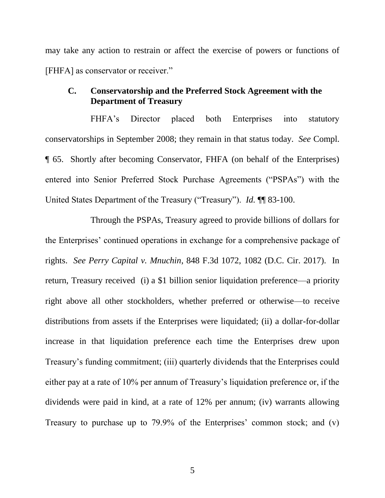may take any action to restrain or affect the exercise of powers or functions of [FHFA] as conservator or receiver."

# **C. Conservatorship and the Preferred Stock Agreement with the Department of Treasury**

FHFA's Director placed both Enterprises into statutory conservatorships in September 2008; they remain in that status today. *See* Compl. ¶ 65. Shortly after becoming Conservator, FHFA (on behalf of the Enterprises) entered into Senior Preferred Stock Purchase Agreements ("PSPAs") with the United States Department of the Treasury ("Treasury"). *Id.* ¶¶ 83-100.

Through the PSPAs, Treasury agreed to provide billions of dollars for the Enterprises' continued operations in exchange for a comprehensive package of rights. *See Perry Capital v. Mnuchin*, 848 F.3d 1072, 1082 (D.C. Cir. 2017). In return, Treasury received (i) a \$1 billion senior liquidation preference—a priority right above all other stockholders, whether preferred or otherwise—to receive distributions from assets if the Enterprises were liquidated; (ii) a dollar-for-dollar increase in that liquidation preference each time the Enterprises drew upon Treasury's funding commitment; (iii) quarterly dividends that the Enterprises could either pay at a rate of 10% per annum of Treasury's liquidation preference or, if the dividends were paid in kind, at a rate of 12% per annum; (iv) warrants allowing Treasury to purchase up to 79.9% of the Enterprises' common stock; and (v)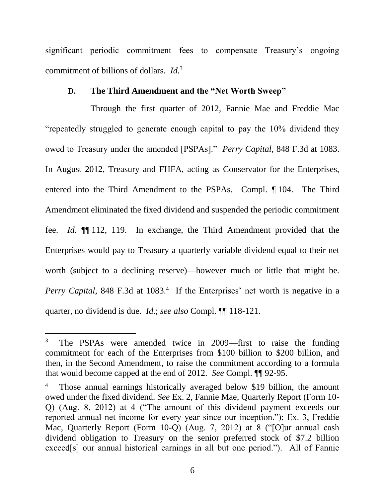significant periodic commitment fees to compensate Treasury's ongoing commitment of billions of dollars. *Id.*<sup>3</sup>

# **D. The Third Amendment and the "Net Worth Sweep"**

Through the first quarter of 2012, Fannie Mae and Freddie Mac "repeatedly struggled to generate enough capital to pay the 10% dividend they owed to Treasury under the amended [PSPAs]." *Perry Capital*, 848 F.3d at 1083. In August 2012, Treasury and FHFA, acting as Conservator for the Enterprises, entered into the Third Amendment to the PSPAs. Compl. ¶ 104. The Third Amendment eliminated the fixed dividend and suspended the periodic commitment fee. *Id.* ¶¶ 112, 119. In exchange, the Third Amendment provided that the Enterprises would pay to Treasury a quarterly variable dividend equal to their net worth (subject to a declining reserve)—however much or little that might be. Perry Capital, 848 F.3d at 1083.<sup>4</sup> If the Enterprises' net worth is negative in a quarter, no dividend is due. *Id*.; *see also* Compl. ¶¶ 118-121.

l

<sup>&</sup>lt;sup>3</sup> The PSPAs were amended twice in 2009—first to raise the funding commitment for each of the Enterprises from \$100 billion to \$200 billion, and then, in the Second Amendment, to raise the commitment according to a formula that would become capped at the end of 2012. *See* Compl. ¶¶ 92-95.

<sup>&</sup>lt;sup>4</sup> Those annual earnings historically averaged below \$19 billion, the amount owed under the fixed dividend. *See* Ex. 2, Fannie Mae, Quarterly Report (Form 10- Q) (Aug. 8, 2012) at 4 ("The amount of this dividend payment exceeds our reported annual net income for every year since our inception."); Ex. 3, Freddie Mac, Quarterly Report (Form 10-Q) (Aug. 7, 2012) at 8 ("[O]ur annual cash dividend obligation to Treasury on the senior preferred stock of \$7.2 billion exceed[s] our annual historical earnings in all but one period."). All of Fannie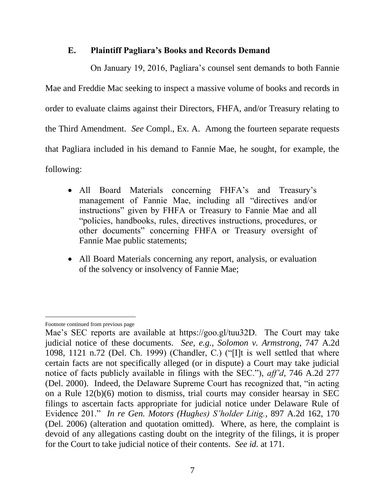# **E. Plaintiff Pagliara's Books and Records Demand**

On January 19, 2016, Pagliara's counsel sent demands to both Fannie Mae and Freddie Mac seeking to inspect a massive volume of books and records in order to evaluate claims against their Directors, FHFA, and/or Treasury relating to the Third Amendment. *See* Compl., Ex. A. Among the fourteen separate requests that Pagliara included in his demand to Fannie Mae, he sought, for example, the following:

- All Board Materials concerning FHFA's and Treasury's management of Fannie Mae, including all "directives and/or instructions" given by FHFA or Treasury to Fannie Mae and all "policies, handbooks, rules, directives instructions, procedures, or other documents" concerning FHFA or Treasury oversight of Fannie Mae public statements;
- All Board Materials concerning any report, analysis, or evaluation of the solvency or insolvency of Fannie Mae;

 $\overline{a}$ Footnote continued from previous page

Mae's SEC reports are available at https://goo.gl/tuu32D. The Court may take judicial notice of these documents. *See, e.g.*, *Solomon v. Armstrong*, 747 A.2d 1098, 1121 n.72 (Del. Ch. 1999) (Chandler, C.) ("[I]t is well settled that where certain facts are not specifically alleged (or in dispute) a Court may take judicial notice of facts publicly available in filings with the SEC."), *aff'd*, 746 A.2d 277 (Del. 2000). Indeed, the Delaware Supreme Court has recognized that, "in acting on a Rule 12(b)(6) motion to dismiss, trial courts may consider hearsay in SEC filings to ascertain facts appropriate for judicial notice under Delaware Rule of Evidence 201." *In re Gen. Motors (Hughes) S'holder Litig.*, 897 A.2d 162, 170 (Del. 2006) (alteration and quotation omitted). Where, as here, the complaint is devoid of any allegations casting doubt on the integrity of the filings, it is proper for the Court to take judicial notice of their contents. *See id.* at 171.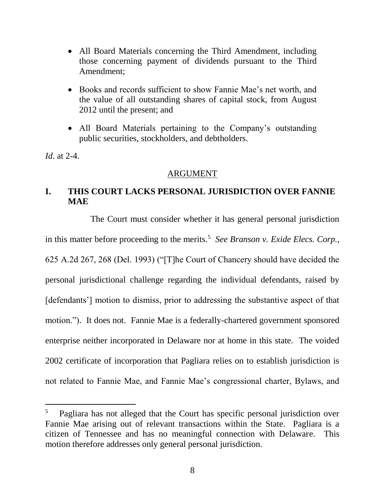- All Board Materials concerning the Third Amendment, including those concerning payment of dividends pursuant to the Third Amendment;
- Books and records sufficient to show Fannie Mae's net worth, and the value of all outstanding shares of capital stock, from August 2012 until the present; and
- All Board Materials pertaining to the Company's outstanding public securities, stockholders, and debtholders.

*Id*. at 2-4.

 $\overline{a}$ 

## <span id="page-15-0"></span>ARGUMENT

# **I. THIS COURT LACKS PERSONAL JURISDICTION OVER FANNIE MAE**

The Court must consider whether it has general personal jurisdiction in this matter before proceeding to the merits.<sup>5</sup> See Branson v. Exide Elecs. Corp., 625 A.2d 267, 268 (Del. 1993) ("[T]he Court of Chancery should have decided the personal jurisdictional challenge regarding the individual defendants, raised by [defendants'] motion to dismiss, prior to addressing the substantive aspect of that motion."). It does not. Fannie Mae is a federally-chartered government sponsored enterprise neither incorporated in Delaware nor at home in this state. The voided 2002 certificate of incorporation that Pagliara relies on to establish jurisdiction is not related to Fannie Mae, and Fannie Mae's congressional charter, Bylaws, and

<sup>&</sup>lt;sup>5</sup> Pagliara has not alleged that the Court has specific personal jurisdiction over Fannie Mae arising out of relevant transactions within the State. Pagliara is a citizen of Tennessee and has no meaningful connection with Delaware. This motion therefore addresses only general personal jurisdiction.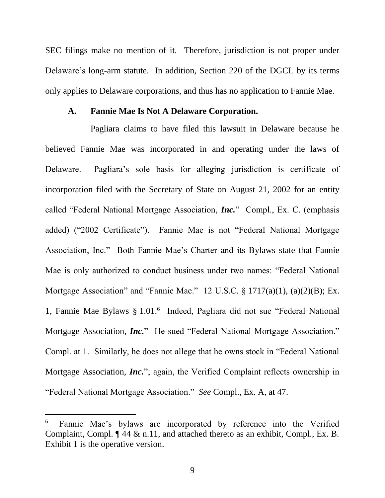SEC filings make no mention of it. Therefore, jurisdiction is not proper under Delaware's long-arm statute. In addition, Section 220 of the DGCL by its terms only applies to Delaware corporations, and thus has no application to Fannie Mae.

#### <span id="page-16-0"></span>**A. Fannie Mae Is Not A Delaware Corporation.**

Pagliara claims to have filed this lawsuit in Delaware because he believed Fannie Mae was incorporated in and operating under the laws of Delaware. Pagliara's sole basis for alleging jurisdiction is certificate of incorporation filed with the Secretary of State on August 21, 2002 for an entity called "Federal National Mortgage Association, *Inc.*" Compl., Ex. C. (emphasis added) ("2002 Certificate"). Fannie Mae is not "Federal National Mortgage Association, Inc." Both Fannie Mae's Charter and its Bylaws state that Fannie Mae is only authorized to conduct business under two names: "Federal National Mortgage Association" and "Fannie Mae." 12 U.S.C. § 1717(a)(1), (a)(2)(B); Ex. 1, Fannie Mae Bylaws § 1.01.<sup>6</sup> Indeed, Pagliara did not sue "Federal National Mortgage Association, *Inc.*" He sued "Federal National Mortgage Association." Compl. at 1. Similarly, he does not allege that he owns stock in "Federal National Mortgage Association, *Inc.*"; again, the Verified Complaint reflects ownership in "Federal National Mortgage Association." *See* Compl., Ex. A, at 47.

<span id="page-16-1"></span> $\overline{a}$ 

<sup>6</sup> Fannie Mae's bylaws are incorporated by reference into the Verified Complaint, Compl. ¶ 44 & n.11, and attached thereto as an exhibit, Compl., Ex. B. Exhibit 1 is the operative version.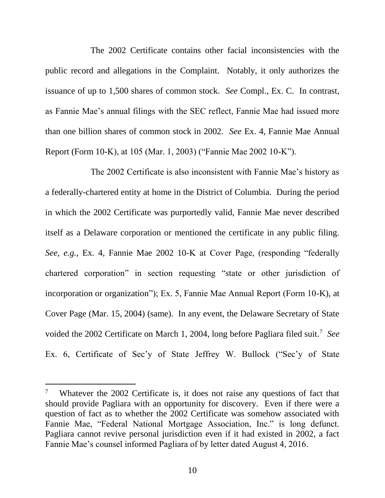The 2002 Certificate contains other facial inconsistencies with the public record and allegations in the Complaint. Notably, it only authorizes the issuance of up to 1,500 shares of common stock. *See* Compl., Ex. C. In contrast, as Fannie Mae's annual filings with the SEC reflect, Fannie Mae had issued more than one billion shares of common stock in 2002. *See* Ex. 4, Fannie Mae Annual Report (Form 10-K), at 105 (Mar. 1, 2003) ("Fannie Mae 2002 10-K").

The 2002 Certificate is also inconsistent with Fannie Mae's history as a federally-chartered entity at home in the District of Columbia. During the period in which the 2002 Certificate was purportedly valid, Fannie Mae never described itself as a Delaware corporation or mentioned the certificate in any public filing. *See, e.g.*, Ex. 4, Fannie Mae 2002 10-K at Cover Page, (responding "federally chartered corporation" in section requesting "state or other jurisdiction of incorporation or organization"); Ex. 5, Fannie Mae Annual Report (Form 10-K), at Cover Page (Mar. 15, 2004) (same). In any event, the Delaware Secretary of State voided the 2002 Certificate on March 1, 2004, long before Pagliara filed suit.<sup>7</sup> *See*  Ex. 6, Certificate of Sec'y of State Jeffrey W. Bullock ("Sec'y of State

l

<sup>&</sup>lt;sup>7</sup> Whatever the 2002 Certificate is, it does not raise any questions of fact that should provide Pagliara with an opportunity for discovery. Even if there were a question of fact as to whether the 2002 Certificate was somehow associated with Fannie Mae, "Federal National Mortgage Association, Inc." is long defunct. Pagliara cannot revive personal jurisdiction even if it had existed in 2002, a fact Fannie Mae's counsel informed Pagliara of by letter dated August 4, 2016.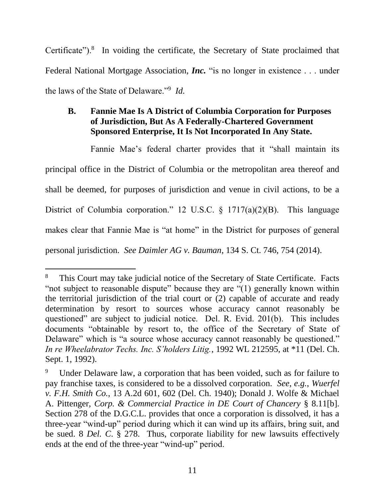Certificate").<sup>8</sup> In voiding the certificate, the Secretary of State proclaimed that Federal National Mortgage Association, *Inc.* "is no longer in existence . . . under the laws of the State of Delaware."<sup>9</sup> *Id.*

# **B. Fannie Mae Is A District of Columbia Corporation for Purposes of Jurisdiction, But As A Federally-Chartered Government Sponsored Enterprise, It Is Not Incorporated In Any State.**

Fannie Mae's federal charter provides that it "shall maintain its principal office in the District of Columbia or the metropolitan area thereof and shall be deemed, for purposes of jurisdiction and venue in civil actions, to be a District of Columbia corporation." 12 U.S.C. § 1717(a)(2)(B). This language makes clear that Fannie Mae is "at home" in the District for purposes of general personal jurisdiction. *See Daimler AG v. Bauman*, 134 S. Ct. 746, 754 (2014).

 $\overline{a}$ 

<sup>&</sup>lt;sup>8</sup> This Court may take judicial notice of the Secretary of State Certificate. Facts "not subject to reasonable dispute" because they are "(1) generally known within the territorial jurisdiction of the trial court or (2) capable of accurate and ready determination by resort to sources whose accuracy cannot reasonably be questioned" are subject to judicial notice. Del. R. Evid. 201(b). This includes documents "obtainable by resort to, the office of the Secretary of State of Delaware" which is "a source whose accuracy cannot reasonably be questioned." *In re Wheelabrator Techs. Inc. S'holders Litig.*, 1992 WL 212595, at \*11 (Del. Ch. Sept. 1, 1992).

<span id="page-18-2"></span><span id="page-18-1"></span><span id="page-18-0"></span>Under Delaware law, a corporation that has been voided, such as for failure to pay franchise taxes, is considered to be a dissolved corporation. *See, e.g.*, *Wuerfel v. F.H. Smith Co.*, 13 A.2d 601, 602 (Del. Ch. 1940); Donald J. Wolfe & Michael A. Pittenger, *Corp. & Commercial Practice in DE Court of Chancery* § 8.11[b]. Section 278 of the D.G.C.L. provides that once a corporation is dissolved, it has a three-year "wind-up" period during which it can wind up its affairs, bring suit, and be sued. 8 *Del. C*. § 278. Thus, corporate liability for new lawsuits effectively ends at the end of the three-year "wind-up" period.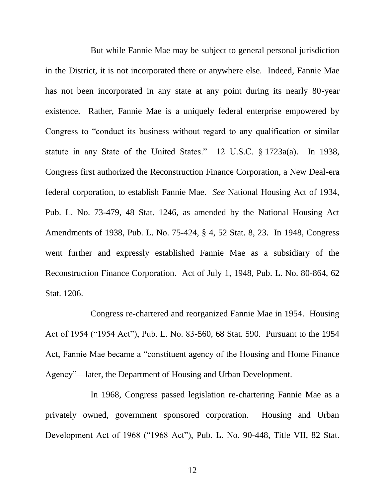<span id="page-19-0"></span>But while Fannie Mae may be subject to general personal jurisdiction in the District, it is not incorporated there or anywhere else. Indeed, Fannie Mae has not been incorporated in any state at any point during its nearly 80-year existence. Rather, Fannie Mae is a uniquely federal enterprise empowered by Congress to "conduct its business without regard to any qualification or similar statute in any State of the United States." 12 U.S.C. § 1723a(a). In 1938, Congress first authorized the Reconstruction Finance Corporation, a New Deal-era federal corporation, to establish Fannie Mae. *See* National Housing Act of 1934, Pub. L. No. 73-479, 48 Stat. 1246, as amended by the National Housing Act Amendments of 1938, Pub. L. No. 75-424, § 4, 52 Stat. 8, 23. In 1948, Congress went further and expressly established Fannie Mae as a subsidiary of the Reconstruction Finance Corporation. Act of July 1, 1948, Pub. L. No. 80-864, 62 Stat. 1206.

Congress re-chartered and reorganized Fannie Mae in 1954. Housing Act of 1954 ("1954 Act"), Pub. L. No. 83-560, 68 Stat. 590. Pursuant to the 1954 Act, Fannie Mae became a "constituent agency of the Housing and Home Finance Agency"—later, the Department of Housing and Urban Development.

In 1968, Congress passed legislation re-chartering Fannie Mae as a privately owned, government sponsored corporation. Housing and Urban Development Act of 1968 ("1968 Act"), Pub. L. No. 90-448, Title VII, 82 Stat.

12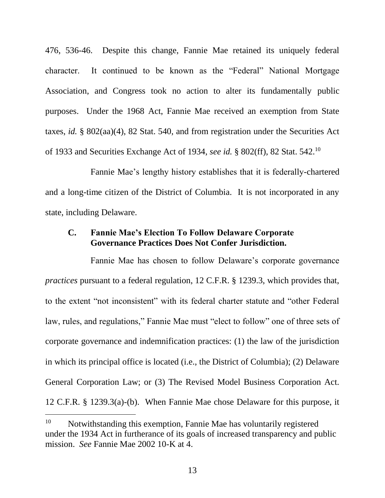476, 536-46. Despite this change, Fannie Mae retained its uniquely federal character. It continued to be known as the "Federal" National Mortgage Association, and Congress took no action to alter its fundamentally public purposes. Under the 1968 Act, Fannie Mae received an exemption from State taxes, *id.* § 802(aa)(4), 82 Stat. 540, and from registration under the Securities Act of 1933 and Securities Exchange Act of 1934, *see id.* § 802(ff), 82 Stat. 542.<sup>10</sup>

Fannie Mae's lengthy history establishes that it is federally-chartered and a long-time citizen of the District of Columbia. It is not incorporated in any state, including Delaware.

### **C. Fannie Mae's Election To Follow Delaware Corporate Governance Practices Does Not Confer Jurisdiction.**

Fannie Mae has chosen to follow Delaware's corporate governance *practices* pursuant to a federal regulation, 12 C.F.R. § 1239.3, which provides that, to the extent "not inconsistent" with its federal charter statute and "other Federal law, rules, and regulations," Fannie Mae must "elect to follow" one of three sets of corporate governance and indemnification practices: (1) the law of the jurisdiction in which its principal office is located (i.e., the District of Columbia); (2) Delaware General Corporation Law; or (3) The Revised Model Business Corporation Act. 12 C.F.R. § 1239.3(a)-(b). When Fannie Mae chose Delaware for this purpose, it

 $\overline{a}$ 

<sup>&</sup>lt;sup>10</sup> Notwithstanding this exemption, Fannie Mae has voluntarily registered under the 1934 Act in furtherance of its goals of increased transparency and public mission. *See* Fannie Mae 2002 10-K at 4.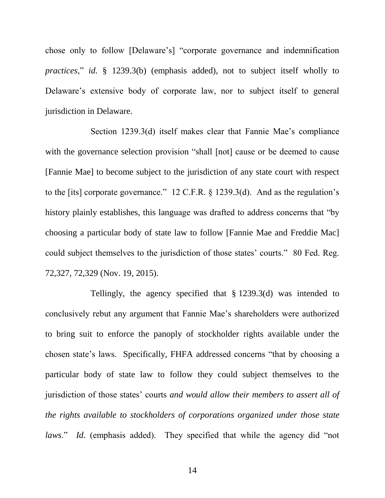chose only to follow [Delaware's] "corporate governance and indemnification *practices*," *id.* § 1239.3(b) (emphasis added), not to subject itself wholly to Delaware's extensive body of corporate law, nor to subject itself to general jurisdiction in Delaware.

Section 1239.3(d) itself makes clear that Fannie Mae's compliance with the governance selection provision "shall [not] cause or be deemed to cause [Fannie Mae] to become subject to the jurisdiction of any state court with respect to the [its] corporate governance." 12 C.F.R. § 1239.3(d). And as the regulation's history plainly establishes, this language was drafted to address concerns that "by choosing a particular body of state law to follow [Fannie Mae and Freddie Mac] could subject themselves to the jurisdiction of those states' courts." 80 Fed. Reg. 72,327, 72,329 (Nov. 19, 2015).

Tellingly, the agency specified that § 1239.3(d) was intended to conclusively rebut any argument that Fannie Mae's shareholders were authorized to bring suit to enforce the panoply of stockholder rights available under the chosen state's laws.Specifically, FHFA addressed concerns "that by choosing a particular body of state law to follow they could subject themselves to the jurisdiction of those states' courts *and would allow their members to assert all of the rights available to stockholders of corporations organized under those state laws.*" *Id.* (emphasis added). They specified that while the agency did "not"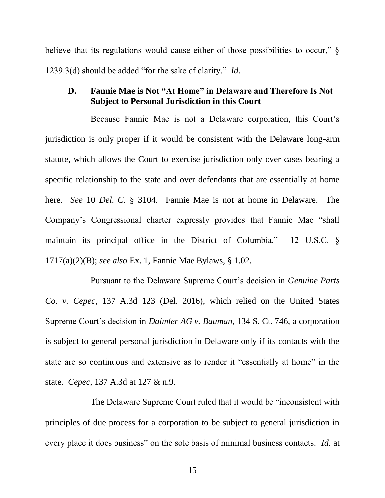believe that its regulations would cause either of those possibilities to occur,"  $\S$ 1239.3(d) should be added "for the sake of clarity." *Id.*

## **D. Fannie Mae is Not "At Home" in Delaware and Therefore Is Not Subject to Personal Jurisdiction in this Court**

Because Fannie Mae is not a Delaware corporation, this Court's jurisdiction is only proper if it would be consistent with the Delaware long-arm statute, which allows the Court to exercise jurisdiction only over cases bearing a specific relationship to the state and over defendants that are essentially at home here. *See* 10 *Del. C.* § 3104. Fannie Mae is not at home in Delaware. The Company's Congressional charter expressly provides that Fannie Mae "shall maintain its principal office in the District of Columbia." 12 U.S.C. § 1717(a)(2)(B); *see also* Ex. 1, Fannie Mae Bylaws, § 1.02.

<span id="page-22-0"></span>Pursuant to the Delaware Supreme Court's decision in *Genuine Parts Co. v. Cepec*, 137 A.3d 123 (Del. 2016), which relied on the United States Supreme Court's decision in *Daimler AG v. Bauman*, 134 S. Ct. 746, a corporation is subject to general personal jurisdiction in Delaware only if its contacts with the state are so continuous and extensive as to render it "essentially at home" in the state. *Cepec*, 137 A.3d at 127 & n.9.

<span id="page-22-1"></span>The Delaware Supreme Court ruled that it would be "inconsistent with principles of due process for a corporation to be subject to general jurisdiction in every place it does business" on the sole basis of minimal business contacts. *Id.* at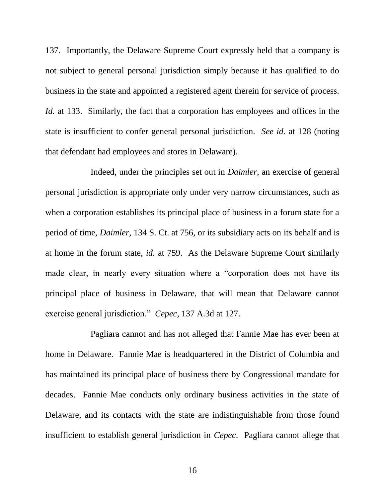137. Importantly, the Delaware Supreme Court expressly held that a company is not subject to general personal jurisdiction simply because it has qualified to do business in the state and appointed a registered agent therein for service of process. *Id.* at 133. Similarly, the fact that a corporation has employees and offices in the state is insufficient to confer general personal jurisdiction. *See id.* at 128 (noting that defendant had employees and stores in Delaware).

Indeed, under the principles set out in *Daimler*, an exercise of general personal jurisdiction is appropriate only under very narrow circumstances, such as when a corporation establishes its principal place of business in a forum state for a period of time, *Daimler*, 134 S. Ct. at 756, or its subsidiary acts on its behalf and is at home in the forum state, *id.* at 759. As the Delaware Supreme Court similarly made clear, in nearly every situation where a "corporation does not have its principal place of business in Delaware, that will mean that Delaware cannot exercise general jurisdiction." *Cepec*, 137 A.3d at 127.

<span id="page-23-0"></span>Pagliara cannot and has not alleged that Fannie Mae has ever been at home in Delaware. Fannie Mae is headquartered in the District of Columbia and has maintained its principal place of business there by Congressional mandate for decades. Fannie Mae conducts only ordinary business activities in the state of Delaware, and its contacts with the state are indistinguishable from those found insufficient to establish general jurisdiction in *Cepec*. Pagliara cannot allege that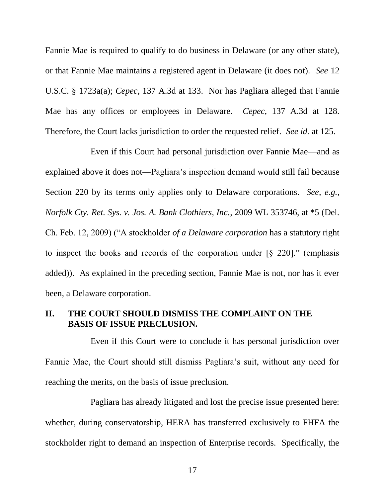<span id="page-24-1"></span>Fannie Mae is required to qualify to do business in Delaware (or any other state), or that Fannie Mae maintains a registered agent in Delaware (it does not). *See* 12 U.S.C. § 1723a(a); *Cepec*, 137 A.3d at 133. Nor has Pagliara alleged that Fannie Mae has any offices or employees in Delaware. *Cepec*, 137 A.3d at 128. Therefore, the Court lacks jurisdiction to order the requested relief. *See id.* at 125.

<span id="page-24-0"></span>Even if this Court had personal jurisdiction over Fannie Mae—and as explained above it does not—Pagliara's inspection demand would still fail because Section 220 by its terms only applies only to Delaware corporations. *See, e.g.*, *Norfolk Cty. Ret. Sys. v. Jos. A. Bank Clothiers, Inc.*, 2009 WL 353746, at \*5 (Del. Ch. Feb. 12, 2009) ("A stockholder *of a Delaware corporation* has a statutory right to inspect the books and records of the corporation under [§ 220]." (emphasis added)). As explained in the preceding section, Fannie Mae is not, nor has it ever been, a Delaware corporation.

## **II. THE COURT SHOULD DISMISS THE COMPLAINT ON THE BASIS OF ISSUE PRECLUSION.**

Even if this Court were to conclude it has personal jurisdiction over Fannie Mae, the Court should still dismiss Pagliara's suit, without any need for reaching the merits, on the basis of issue preclusion.

Pagliara has already litigated and lost the precise issue presented here: whether, during conservatorship, HERA has transferred exclusively to FHFA the stockholder right to demand an inspection of Enterprise records. Specifically, the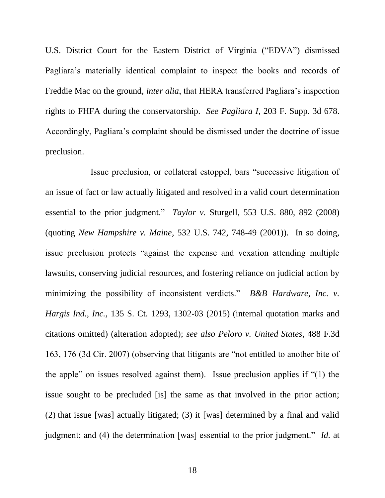U.S. District Court for the Eastern District of Virginia ("EDVA") dismissed Pagliara's materially identical complaint to inspect the books and records of Freddie Mac on the ground, *inter alia*, that HERA transferred Pagliara's inspection rights to FHFA during the conservatorship. *See Pagliara I*, 203 F. Supp. 3d 678. Accordingly, Pagliara's complaint should be dismissed under the doctrine of issue preclusion.

<span id="page-25-2"></span><span id="page-25-1"></span><span id="page-25-0"></span>Issue preclusion, or collateral estoppel, bars "successive litigation of an issue of fact or law actually litigated and resolved in a valid court determination essential to the prior judgment." *Taylor v.* Sturgell, 553 U.S. 880, 892 (2008) (quoting *New Hampshire v. Maine*, 532 U.S. 742, 748-49 (2001)). In so doing, issue preclusion protects "against the expense and vexation attending multiple lawsuits, conserving judicial resources, and fostering reliance on judicial action by minimizing the possibility of inconsistent verdicts." *B&B Hardware, Inc. v. Hargis Ind., Inc.,* 135 S. Ct. 1293, 1302-03 (2015) (internal quotation marks and citations omitted) (alteration adopted); *see also Peloro v. United States*, 488 F.3d 163, 176 (3d Cir. 2007) (observing that litigants are "not entitled to another bite of the apple" on issues resolved against them). Issue preclusion applies if "(1) the issue sought to be precluded [is] the same as that involved in the prior action; (2) that issue [was] actually litigated; (3) it [was] determined by a final and valid judgment; and (4) the determination [was] essential to the prior judgment." *Id.* at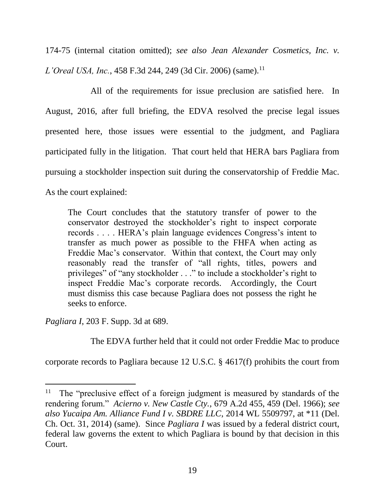<span id="page-26-1"></span>174-75 (internal citation omitted); *see also Jean Alexander Cosmetics, Inc. v. L'Oreal USA, Inc.,* 458 F.3d 244, 249 (3d Cir. 2006) (same).<sup>11</sup>

All of the requirements for issue preclusion are satisfied here. In August, 2016, after full briefing, the EDVA resolved the precise legal issues presented here, those issues were essential to the judgment, and Pagliara participated fully in the litigation. That court held that HERA bars Pagliara from pursuing a stockholder inspection suit during the conservatorship of Freddie Mac. As the court explained:

The Court concludes that the statutory transfer of power to the conservator destroyed the stockholder's right to inspect corporate records . . . . HERA's plain language evidences Congress's intent to transfer as much power as possible to the FHFA when acting as Freddie Mac's conservator. Within that context, the Court may only reasonably read the transfer of "all rights, titles, powers and privileges" of "any stockholder . . ." to include a stockholder's right to inspect Freddie Mac's corporate records. Accordingly, the Court must dismiss this case because Pagliara does not possess the right he seeks to enforce.

*Pagliara I*, 203 F. Supp. 3d at 689.

l

<span id="page-26-0"></span>The EDVA further held that it could not order Freddie Mac to produce

corporate records to Pagliara because 12 U.S.C. § 4617(f) prohibits the court from

<span id="page-26-2"></span><sup>&</sup>lt;sup>11</sup> The "preclusive effect of a foreign judgment is measured by standards of the rendering forum." *Acierno v. New Castle Cty.*, 679 A.2d 455, 459 (Del. 1966); *see also Yucaipa Am. Alliance Fund I v. SBDRE LLC*, 2014 WL 5509797, at \*11 (Del. Ch. Oct. 31, 2014) (same). Since *Pagliara I* was issued by a federal district court, federal law governs the extent to which Pagliara is bound by that decision in this Court.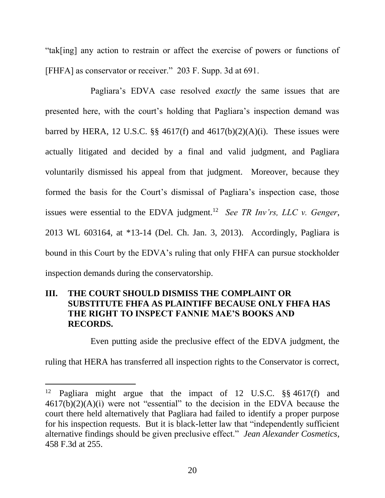"tak[ing] any action to restrain or affect the exercise of powers or functions of [FHFA] as conservator or receiver." 203 F. Supp. 3d at 691.

Pagliara's EDVA case resolved *exactly* the same issues that are presented here, with the court's holding that Pagliara's inspection demand was barred by HERA, 12 U.S.C.  $\S$  4617(f) and 4617(b)(2)(A)(i). These issues were actually litigated and decided by a final and valid judgment, and Pagliara voluntarily dismissed his appeal from that judgment. Moreover, because they formed the basis for the Court's dismissal of Pagliara's inspection case, those issues were essential to the EDVA judgment.<sup>12</sup> See TR Inv'rs, LLC v. Genger, 2013 WL 603164, at \*13-14 (Del. Ch. Jan. 3, 2013). Accordingly, Pagliara is bound in this Court by the EDVA's ruling that only FHFA can pursue stockholder inspection demands during the conservatorship.

# **III. THE COURT SHOULD DISMISS THE COMPLAINT OR SUBSTITUTE FHFA AS PLAINTIFF BECAUSE ONLY FHFA HAS THE RIGHT TO INSPECT FANNIE MAE'S BOOKS AND RECORDS.**

Even putting aside the preclusive effect of the EDVA judgment, the

ruling that HERA has transferred all inspection rights to the Conservator is correct,

l

<sup>&</sup>lt;sup>12</sup> Pagliara might argue that the impact of 12 U.S.C.  $\S$ § 4617(f) and 4617(b)(2)(A)(i) were not "essential" to the decision in the EDVA because the court there held alternatively that Pagliara had failed to identify a proper purpose for his inspection requests. But it is black-letter law that "independently sufficient alternative findings should be given preclusive effect." *Jean Alexander Cosmetics*, 458 F.3d at 255.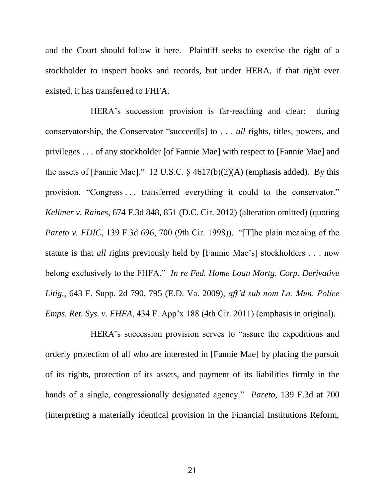and the Court should follow it here. Plaintiff seeks to exercise the right of a stockholder to inspect books and records, but under HERA, if that right ever existed, it has transferred to FHFA.

<span id="page-28-1"></span>HERA's succession provision is far-reaching and clear: during conservatorship, the Conservator "succeed[s] to . . . *all* rights, titles, powers, and privileges . . . of any stockholder [of Fannie Mae] with respect to [Fannie Mae] and the assets of [Fannie Mae]." 12 U.S.C.  $\S$  4617(b)(2)(A) (emphasis added). By this provision, "Congress . . . transferred everything it could to the conservator." *Kellmer v. Raines*, 674 F.3d 848, 851 (D.C. Cir. 2012) (alteration omitted) (quoting *Pareto v. FDIC*, 139 F.3d 696, 700 (9th Cir. 1998)). "[T]he plain meaning of the statute is that *all* rights previously held by [Fannie Mae's] stockholders . . . now belong exclusively to the FHFA." *In re Fed. Home Loan Mortg. Corp. Derivative Litig.*, 643 F. Supp. 2d 790, 795 (E.D. Va. 2009), *aff'd sub nom La. Mun. Police Emps. Ret. Sys. v. FHFA*, 434 F. App'x 188 (4th Cir. 2011) (emphasis in original).

<span id="page-28-2"></span><span id="page-28-0"></span>HERA's succession provision serves to "assure the expeditious and orderly protection of all who are interested in [Fannie Mae] by placing the pursuit of its rights, protection of its assets, and payment of its liabilities firmly in the hands of a single, congressionally designated agency." *Pareto*, 139 F.3d at 700 (interpreting a materially identical provision in the Financial Institutions Reform,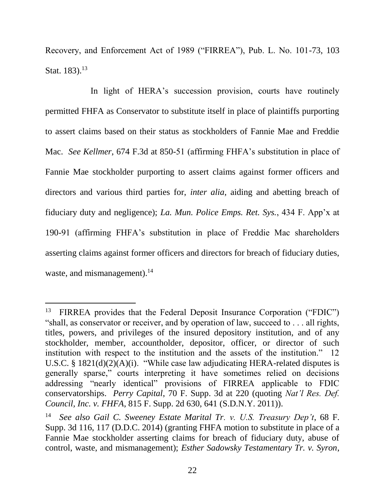Recovery, and Enforcement Act of 1989 ("FIRREA"), Pub. L. No. 101-73, 103 Stat.  $183$ .<sup>13</sup>

<span id="page-29-2"></span>In light of HERA's succession provision, courts have routinely permitted FHFA as Conservator to substitute itself in place of plaintiffs purporting to assert claims based on their status as stockholders of Fannie Mae and Freddie Mac. *See Kellmer*, 674 F.3d at 850-51 (affirming FHFA's substitution in place of Fannie Mae stockholder purporting to assert claims against former officers and directors and various third parties for, *inter alia*, aiding and abetting breach of fiduciary duty and negligence); *La. Mun. Police Emps. Ret. Sys.*, 434 F. App'x at 190-91 (affirming FHFA's substitution in place of Freddie Mac shareholders asserting claims against former officers and directors for breach of fiduciary duties, waste, and mismanagement).<sup>14</sup>

 $\overline{a}$ 

<span id="page-29-3"></span><sup>13</sup> FIRREA provides that the Federal Deposit Insurance Corporation ("FDIC") "shall, as conservator or receiver, and by operation of law, succeed to . . . all rights, titles, powers, and privileges of the insured depository institution, and of any stockholder, member, accountholder, depositor, officer, or director of such institution with respect to the institution and the assets of the institution." 12 U.S.C. § 1821(d)(2)(A)(i). "While case law adjudicating HERA-related disputes is generally sparse," courts interpreting it have sometimes relied on decisions addressing "nearly identical" provisions of FIRREA applicable to FDIC conservatorships. *Perry Capital*, 70 F. Supp. 3d at 220 (quoting *Nat'l Res. Def. Council, Inc. v. FHFA*, 815 F. Supp. 2d 630, 641 (S.D.N.Y. 2011)).

<span id="page-29-1"></span><span id="page-29-0"></span><sup>14</sup> *See also Gail C. Sweeney Estate Marital Tr. v. U.S. Treasury Dep't*, 68 F. Supp. 3d 116, 117 (D.D.C. 2014) (granting FHFA motion to substitute in place of a Fannie Mae stockholder asserting claims for breach of fiduciary duty, abuse of control, waste, and mismanagement); *Esther Sadowsky Testamentary Tr. v. Syron*,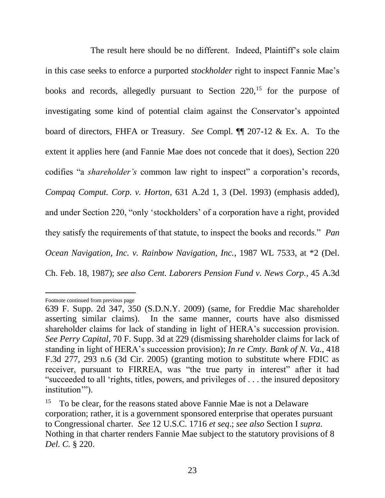The result here should be no different. Indeed, Plaintiff's sole claim in this case seeks to enforce a purported *stockholder* right to inspect Fannie Mae's books and records, allegedly pursuant to Section  $220$ ,<sup>15</sup> for the purpose of investigating some kind of potential claim against the Conservator's appointed board of directors, FHFA or Treasury. *See* Compl. ¶¶ 207-12 & Ex. A. To the extent it applies here (and Fannie Mae does not concede that it does), Section 220 codifies "a *shareholder's* common law right to inspect" a corporation's records, *Compaq Comput. Corp. v. Horton*, 631 A.2d 1, 3 (Del. 1993) (emphasis added), and under Section 220, "only 'stockholders' of a corporation have a right, provided they satisfy the requirements of that statute, to inspect the books and records." *Pan Ocean Navigation, Inc. v. Rainbow Navigation, Inc.*, 1987 WL 7533, at \*2 (Del. Ch. Feb. 18, 1987); *see also Cent. Laborers Pension Fund v. News Corp.*, 45 A.3d

<span id="page-30-0"></span> $\overline{a}$ Footnote continued from previous page

<span id="page-30-1"></span><sup>639</sup> F. Supp. 2d 347, 350 (S.D.N.Y. 2009) (same, for Freddie Mac shareholder asserting similar claims). In the same manner, courts have also dismissed shareholder claims for lack of standing in light of HERA's succession provision. *See Perry Capital*, 70 F. Supp. 3d at 229 (dismissing shareholder claims for lack of standing in light of HERA's succession provision); *In re Cmty. Bank of N. Va.*, 418 F.3d 277, 293 n.6 (3d Cir. 2005) (granting motion to substitute where FDIC as receiver, pursuant to FIRREA, was "the true party in interest" after it had "succeeded to all 'rights, titles, powers, and privileges of . . . the insured depository institution").

<span id="page-30-2"></span><sup>&</sup>lt;sup>15</sup> To be clear, for the reasons stated above Fannie Mae is not a Delaware corporation; rather, it is a government sponsored enterprise that operates pursuant to Congressional charter. *See* 12 U.S.C. 1716 *et seq*.; *see also* Section I *supra*. Nothing in that charter renders Fannie Mae subject to the statutory provisions of 8 *Del. C.* § 220.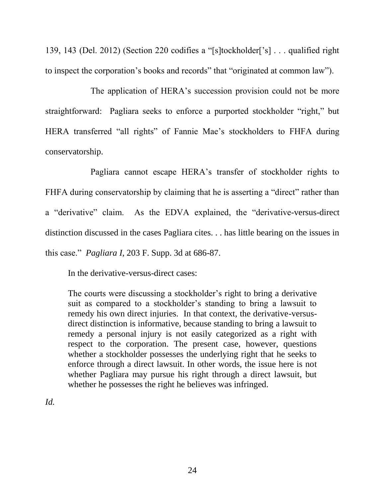139, 143 (Del. 2012) (Section 220 codifies a "[s]tockholder['s] . . . qualified right to inspect the corporation's books and records" that "originated at common law").

The application of HERA's succession provision could not be more straightforward: Pagliara seeks to enforce a purported stockholder "right," but HERA transferred "all rights" of Fannie Mae's stockholders to FHFA during conservatorship.

Pagliara cannot escape HERA's transfer of stockholder rights to FHFA during conservatorship by claiming that he is asserting a "direct" rather than a "derivative" claim. As the EDVA explained, the "derivative-versus-direct distinction discussed in the cases Pagliara cites. . . has little bearing on the issues in this case." *Pagliara I*, 203 F. Supp. 3d at 686-87.

In the derivative-versus-direct cases:

The courts were discussing a stockholder's right to bring a derivative suit as compared to a stockholder's standing to bring a lawsuit to remedy his own direct injuries. In that context, the derivative-versusdirect distinction is informative, because standing to bring a lawsuit to remedy a personal injury is not easily categorized as a right with respect to the corporation. The present case, however, questions whether a stockholder possesses the underlying right that he seeks to enforce through a direct lawsuit. In other words, the issue here is not whether Pagliara may pursue his right through a direct lawsuit, but whether he possesses the right he believes was infringed.

*Id.*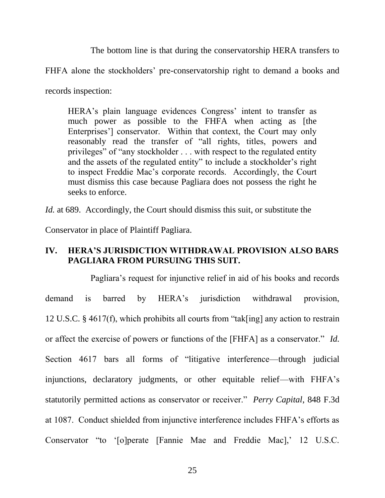The bottom line is that during the conservatorship HERA transfers to

FHFA alone the stockholders' pre-conservatorship right to demand a books and

records inspection:

HERA's plain language evidences Congress' intent to transfer as much power as possible to the FHFA when acting as [the Enterprises'] conservator. Within that context, the Court may only reasonably read the transfer of "all rights, titles, powers and privileges" of "any stockholder . . . with respect to the regulated entity and the assets of the regulated entity" to include a stockholder's right to inspect Freddie Mac's corporate records. Accordingly, the Court must dismiss this case because Pagliara does not possess the right he seeks to enforce.

*Id.* at 689. Accordingly, the Court should dismiss this suit, or substitute the

Conservator in place of Plaintiff Pagliara.

# **IV. HERA'S JURISDICTION WITHDRAWAL PROVISION ALSO BARS PAGLIARA FROM PURSUING THIS SUIT.**

Pagliara's request for injunctive relief in aid of his books and records demand is barred by HERA's jurisdiction withdrawal provision, 12 U.S.C. § 4617(f), which prohibits all courts from "tak[ing] any action to restrain or affect the exercise of powers or functions of the [FHFA] as a conservator." *Id.* Section 4617 bars all forms of "litigative interference—through judicial injunctions, declaratory judgments, or other equitable relief—with FHFA's statutorily permitted actions as conservator or receiver." *Perry Capital*, 848 F.3d at 1087. Conduct shielded from injunctive interference includes FHFA's efforts as Conservator "to '[o]perate [Fannie Mae and Freddie Mac],' 12 U.S.C.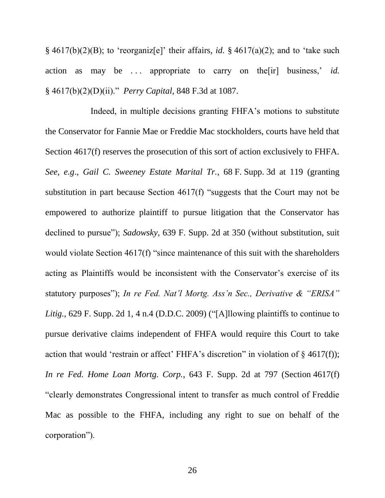§ 4617(b)(2)(B); to 'reorganiz[e]' their affairs, *id.* § 4617(a)(2); and to 'take such action as may be ... appropriate to carry on the [ir] business,' *id.* § 4617(b)(2)(D)(ii)." *Perry Capital*, 848 F.3d at 1087.

<span id="page-33-2"></span><span id="page-33-1"></span><span id="page-33-0"></span>Indeed, in multiple decisions granting FHFA's motions to substitute the Conservator for Fannie Mae or Freddie Mac stockholders, courts have held that Section 4617(f) reserves the prosecution of this sort of action exclusively to FHFA. *See, e.g*., *Gail C. Sweeney Estate Marital Tr.*, 68 F. Supp. 3d at 119 (granting substitution in part because Section 4617(f) "suggests that the Court may not be empowered to authorize plaintiff to pursue litigation that the Conservator has declined to pursue"); *Sadowsky*, 639 F. Supp. 2d at 350 (without substitution, suit would violate Section 4617(f) "since maintenance of this suit with the shareholders acting as Plaintiffs would be inconsistent with the Conservator's exercise of its statutory purposes"); *In re Fed. Nat'l Mortg. Ass'n Sec., Derivative & "ERISA" Litig.*, 629 F. Supp. 2d 1, 4 n.4 (D.D.C. 2009) ("[A]llowing plaintiffs to continue to pursue derivative claims independent of FHFA would require this Court to take action that would 'restrain or affect' FHFA's discretion" in violation of  $\S$  4617(f)); *In re Fed. Home Loan Mortg. Corp.*, 643 F. Supp. 2d at 797 (Section 4617(f) "clearly demonstrates Congressional intent to transfer as much control of Freddie Mac as possible to the FHFA, including any right to sue on behalf of the corporation").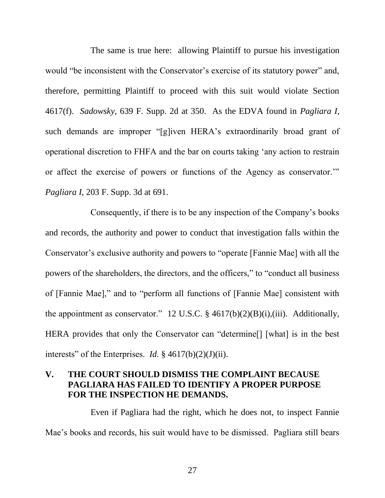The same is true here: allowing Plaintiff to pursue his investigation would "be inconsistent with the Conservator's exercise of its statutory power" and, therefore, permitting Plaintiff to proceed with this suit would violate Section 4617(f). *Sadowsky*, 639 F. Supp. 2d at 350. As the EDVA found in *Pagliara I*, such demands are improper "[g]iven HERA's extraordinarily broad grant of operational discretion to FHFA and the bar on courts taking 'any action to restrain or affect the exercise of powers or functions of the Agency as conservator.'" *Pagliara I*, 203 F. Supp. 3d at 691.

Consequently, if there is to be any inspection of the Company's books and records, the authority and power to conduct that investigation falls within the Conservator's exclusive authority and powers to "operate [Fannie Mae] with all the powers of the shareholders, the directors, and the officers," to "conduct all business of [Fannie Mae]," and to "perform all functions of [Fannie Mae] consistent with the appointment as conservator." 12 U.S.C.  $\S$  4617(b)(2)(B)(i),(iii). Additionally, HERA provides that only the Conservator can "determine[] [what] is in the best interests" of the Enterprises. *Id.*  $\S$  4617(b)(2)(J)(ii).

# **V. THE COURT SHOULD DISMISS THE COMPLAINT BECAUSE PAGLIARA HAS FAILED TO IDENTIFY A PROPER PURPOSE FOR THE INSPECTION HE DEMANDS.**

Even if Pagliara had the right, which he does not, to inspect Fannie Mae's books and records, his suit would have to be dismissed. Pagliara still bears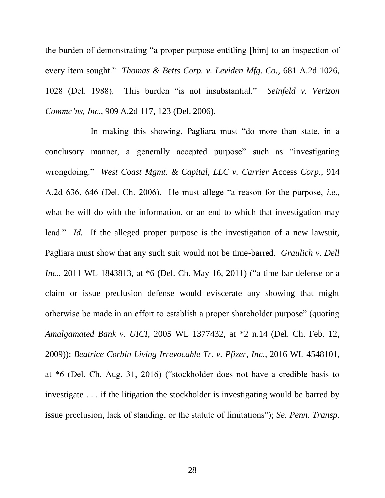<span id="page-35-4"></span><span id="page-35-2"></span>the burden of demonstrating "a proper purpose entitling [him] to an inspection of every item sought." *Thomas & Betts Corp. v. Leviden Mfg. Co.*, 681 A.2d 1026, 1028 (Del. 1988). This burden "is not insubstantial." *Seinfeld v. Verizon Commc'ns, Inc.*, 909 A.2d 117, 123 (Del. 2006).

<span id="page-35-3"></span><span id="page-35-1"></span><span id="page-35-0"></span>In making this showing, Pagliara must "do more than state, in a conclusory manner, a generally accepted purpose" such as "investigating wrongdoing." *West Coast Mgmt. & Capital, LLC v. Carrier* Access *Corp.*, 914 A.2d 636, 646 (Del. Ch. 2006). He must allege "a reason for the purpose, *i.e.*, what he will do with the information, or an end to which that investigation may lead." *Id.* If the alleged proper purpose is the investigation of a new lawsuit, Pagliara must show that any such suit would not be time-barred. *Graulich v. Dell Inc.*, 2011 WL 1843813, at \*6 (Del. Ch. May 16, 2011) ("a time bar defense or a claim or issue preclusion defense would eviscerate any showing that might otherwise be made in an effort to establish a proper shareholder purpose" (quoting *Amalgamated Bank v. UICI*, 2005 WL 1377432, at \*2 n.14 (Del. Ch. Feb. 12, 2009)); *Beatrice Corbin Living Irrevocable Tr. v. Pfizer, Inc.*, 2016 WL 4548101, at \*6 (Del. Ch. Aug. 31, 2016) ("stockholder does not have a credible basis to investigate . . . if the litigation the stockholder is investigating would be barred by issue preclusion, lack of standing, or the statute of limitations"); *Se. Penn. Transp.*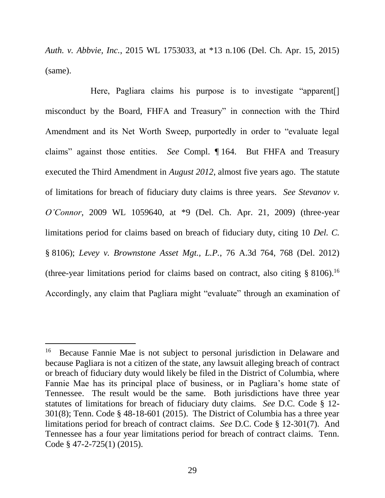*Auth. v. Abbvie, Inc.*, 2015 WL 1753033, at \*13 n.106 (Del. Ch. Apr. 15, 2015) (same).

<span id="page-36-1"></span>Here, Pagliara claims his purpose is to investigate "apparent. misconduct by the Board, FHFA and Treasury" in connection with the Third Amendment and its Net Worth Sweep, purportedly in order to "evaluate legal claims" against those entities. *See* Compl. ¶ 164. But FHFA and Treasury executed the Third Amendment in *August 2012*, almost five years ago. The statute of limitations for breach of fiduciary duty claims is three years. *See Stevanov v. O'Connor*, 2009 WL 1059640, at \*9 (Del. Ch. Apr. 21, 2009) (three-year limitations period for claims based on breach of fiduciary duty, citing 10 *Del. C.* § 8106); *Levey v. Brownstone Asset Mgt., L.P.*, 76 A.3d 764, 768 (Del. 2012) (three-year limitations period for claims based on contract, also citing  $§ 8106$ .<sup>16</sup> Accordingly, any claim that Pagliara might "evaluate" through an examination of

<span id="page-36-0"></span>l

<sup>16</sup> Because Fannie Mae is not subject to personal jurisdiction in Delaware and because Pagliara is not a citizen of the state, any lawsuit alleging breach of contract or breach of fiduciary duty would likely be filed in the District of Columbia, where Fannie Mae has its principal place of business, or in Pagliara's home state of Tennessee. The result would be the same. Both jurisdictions have three year statutes of limitations for breach of fiduciary duty claims. *See* D.C. Code § 12- 301(8); Tenn. Code § 48-18-601 (2015). The District of Columbia has a three year limitations period for breach of contract claims. *See* D.C. Code § 12-301(7). And Tennessee has a four year limitations period for breach of contract claims. Tenn. Code § 47-2-725(1) (2015).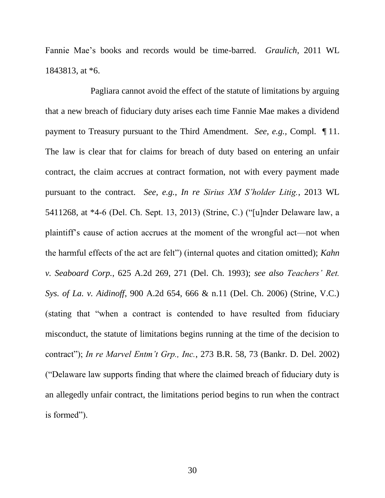<span id="page-37-0"></span>Fannie Mae's books and records would be time-barred. *Graulich*, 2011 WL 1843813, at \*6.

<span id="page-37-4"></span><span id="page-37-3"></span><span id="page-37-2"></span><span id="page-37-1"></span>Pagliara cannot avoid the effect of the statute of limitations by arguing that a new breach of fiduciary duty arises each time Fannie Mae makes a dividend payment to Treasury pursuant to the Third Amendment. *See, e.g.,* Compl. ¶ 11. The law is clear that for claims for breach of duty based on entering an unfair contract, the claim accrues at contract formation, not with every payment made pursuant to the contract. *See, e.g.*, *In re Sirius XM S'holder Litig.*, 2013 WL 5411268, at \*4-6 (Del. Ch. Sept. 13, 2013) (Strine, C.) ("[u]nder Delaware law, a plaintiff's cause of action accrues at the moment of the wrongful act—not when the harmful effects of the act are felt") (internal quotes and citation omitted); *Kahn v. Seaboard Corp.*, 625 A.2d 269, 271 (Del. Ch. 1993); *see also Teachers' Ret. Sys. of La. v. Aidinoff*, 900 A.2d 654, 666 & n.11 (Del. Ch. 2006) (Strine, V.C.) (stating that "when a contract is contended to have resulted from fiduciary misconduct, the statute of limitations begins running at the time of the decision to contract"); *In re Marvel Entm't Grp., Inc.*, 273 B.R. 58, 73 (Bankr. D. Del. 2002) ("Delaware law supports finding that where the claimed breach of fiduciary duty is an allegedly unfair contract, the limitations period begins to run when the contract is formed").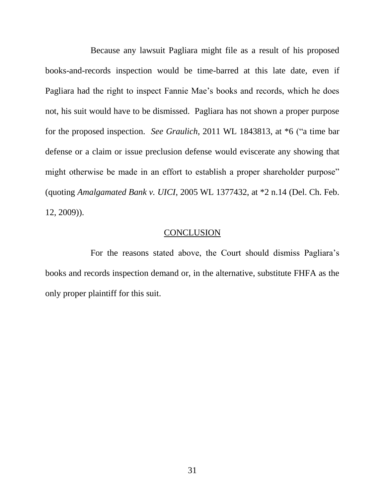Because any lawsuit Pagliara might file as a result of his proposed books-and-records inspection would be time-barred at this late date, even if Pagliara had the right to inspect Fannie Mae's books and records, which he does not, his suit would have to be dismissed. Pagliara has not shown a proper purpose for the proposed inspection. *See Graulich*, 2011 WL 1843813, at \*6 ("a time bar defense or a claim or issue preclusion defense would eviscerate any showing that might otherwise be made in an effort to establish a proper shareholder purpose" (quoting *Amalgamated Bank v. UICI*, 2005 WL 1377432, at \*2 n.14 (Del. Ch. Feb. 12, 2009)).

#### **CONCLUSION**

For the reasons stated above, the Court should dismiss Pagliara's books and records inspection demand or, in the alternative, substitute FHFA as the only proper plaintiff for this suit.